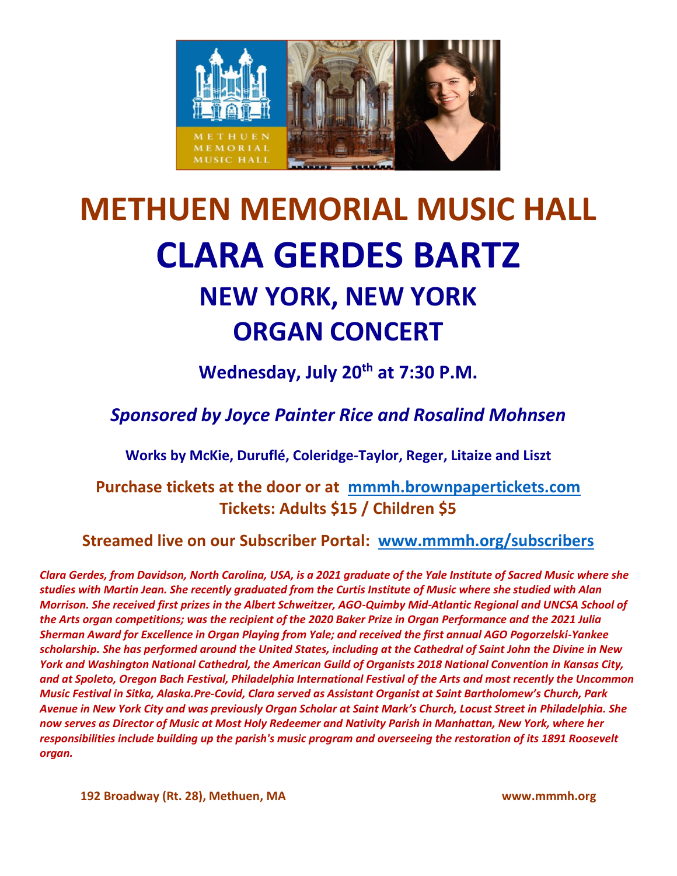

# **METHUEN MEMORIAL MUSIC HALL CLARA GERDES BARTZ NEW YORK, NEW YORK ORGAN CONCERT**

**Wednesday, July 20th at 7:30 P.M.**

*Sponsored by Joyce Painter Rice and Rosalind Mohnsen*

**Works by McKie, Duruflé, Coleridge-Taylor, Reger, Litaize and Liszt**

**Purchase tickets at the door or at [mmmh.brownpapertickets.com](http://mmmh.brownpapertickets.com/) Tickets: Adults \$15 / Children \$5**

**Streamed live on our Subscriber Portal: [www.mmmh.org/subscribers](http://www.mmmh.org/subscribers)**

*Clara Gerdes, from Davidson, North Carolina, USA, is a 2021 graduate of the Yale Institute of Sacred Music where she studies with Martin Jean. She recently graduated from the Curtis Institute of Music where she studied with Alan Morrison. She received first prizes in the Albert Schweitzer, AGO-Quimby Mid-Atlantic Regional and UNCSA School of the Arts organ competitions; was the recipient of the 2020 Baker Prize in Organ Performance and the 2021 Julia Sherman Award for Excellence in Organ Playing from Yale; and received the first annual AGO Pogorzelski-Yankee scholarship. She has performed around the United States, including at the Cathedral of Saint John the Divine in New York and Washington National Cathedral, the American Guild of Organists 2018 National Convention in Kansas City, and at Spoleto, Oregon Bach Festival, Philadelphia International Festival of the Arts and most recently the Uncommon Music Festival in Sitka, Alaska.Pre-Covid, Clara served as Assistant Organist at Saint Bartholomew's Church, Park Avenue in New York City and was previously Organ Scholar at Saint Mark's Church, Locust Street in Philadelphia. She now serves as Director of Music at Most Holy Redeemer and Nativity Parish in Manhattan, New York, where her responsibilities include building up the parish's music program and overseeing the restoration of its 1891 Roosevelt organ.*

**192 Broadway (Rt. 28), Methuen, MA www.mmmh.org**